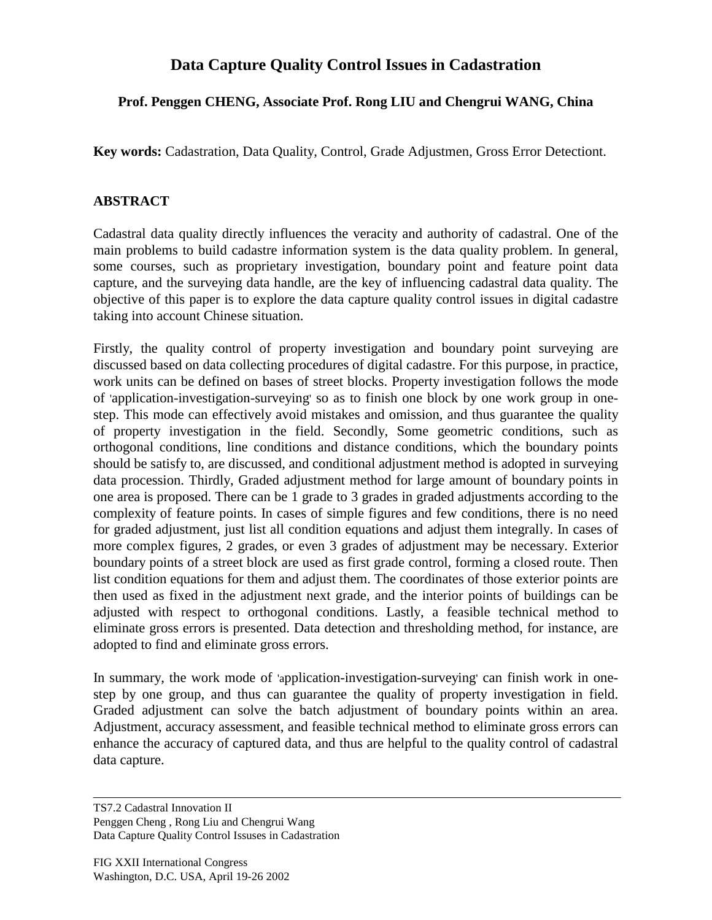## **Data Capture Quality Control Issues in Cadastration**

## **Prof. Penggen CHENG, Associate Prof. Rong LIU and Chengrui WANG, China**

**Key words:** Cadastration, Data Quality, Control, Grade Adjustmen, Gross Error Detectiont.

## **ABSTRACT**

Cadastral data quality directly influences the veracity and authority of cadastral. One of the main problems to build cadastre information system is the data quality problem. In general, some courses, such as proprietary investigation, boundary point and feature point data capture, and the surveying data handle, are the key of influencing cadastral data quality. The objective of this paper is to explore the data capture quality control issues in digital cadastre taking into account Chinese situation.

Firstly, the quality control of property investigation and boundary point surveying are discussed based on data collecting procedures of digital cadastre. For this purpose, in practice, work units can be defined on bases of street blocks. Property investigation follows the mode of 'application-investigation-surveying' so as to finish one block by one work group in onestep. This mode can effectively avoid mistakes and omission, and thus guarantee the quality of property investigation in the field. Secondly, Some geometric conditions, such as orthogonal conditions, line conditions and distance conditions, which the boundary points should be satisfy to, are discussed, and conditional adjustment method is adopted in surveying data procession. Thirdly, Graded adjustment method for large amount of boundary points in one area is proposed. There can be 1 grade to 3 grades in graded adjustments according to the complexity of feature points. In cases of simple figures and few conditions, there is no need for graded adjustment, just list all condition equations and adjust them integrally. In cases of more complex figures, 2 grades, or even 3 grades of adjustment may be necessary. Exterior boundary points of a street block are used as first grade control, forming a closed route. Then list condition equations for them and adjust them. The coordinates of those exterior points are then used as fixed in the adjustment next grade, and the interior points of buildings can be adjusted with respect to orthogonal conditions. Lastly, a feasible technical method to eliminate gross errors is presented. Data detection and thresholding method, for instance, are adopted to find and eliminate gross errors.

In summary, the work mode of 'application-investigation-surveying' can finish work in onestep by one group, and thus can guarantee the quality of property investigation in field. Graded adjustment can solve the batch adjustment of boundary points within an area. Adjustment, accuracy assessment, and feasible technical method to eliminate gross errors can enhance the accuracy of captured data, and thus are helpful to the quality control of cadastral data capture.

TS7.2 Cadastral Innovation II Penggen Cheng , Rong Liu and Chengrui Wang Data Capture Quality Control Issuses in Cadastration